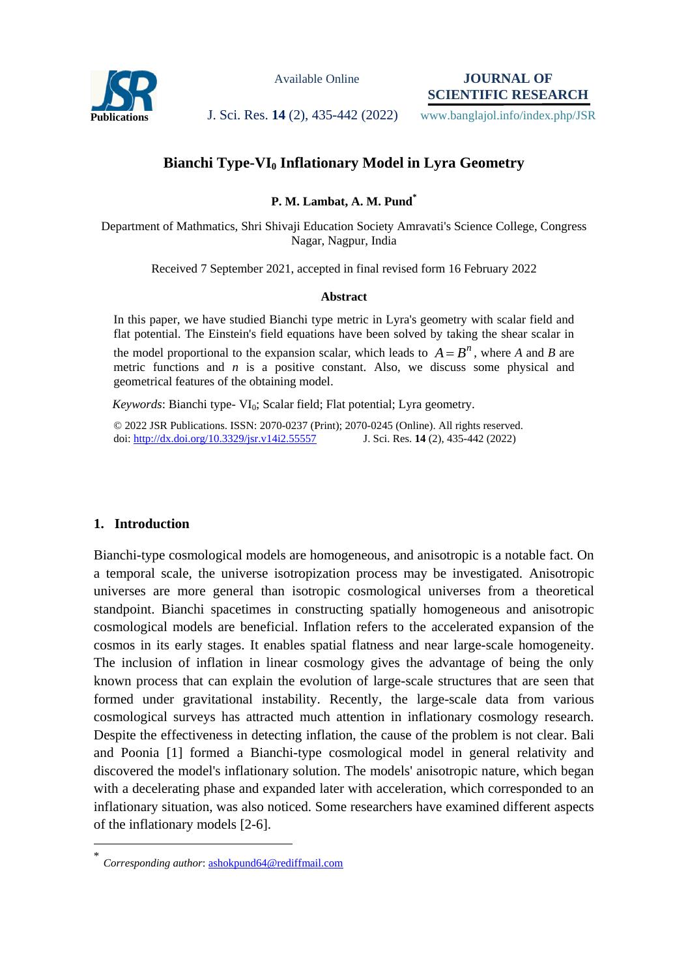

Available Online

**JOURNAL OF SCIENTIFIC RESEARCH**

Publications **J. Sci. Res. 14 (2), 435-442 (2022)** www.banglajol.info/index.php/JSR

# **Bianchi Type-VI<sup>0</sup> Inflationary Model in Lyra Geometry**

**P. M. Lambat, A. M. Pund\***

Department of Mathmatics, Shri Shivaji Education Society Amravati's Science College, Congress Nagar, Nagpur, India

Received 7 September 2021, accepted in final revised form 16 February 2022

#### **Abstract**

In this paper, we have studied Bianchi type metric in Lyra's geometry with scalar field and flat potential. The Einstein's field equations have been solved by taking the shear scalar in the model proportional to the expansion scalar, which leads to  $A = B^n$ , where A and B are metric functions and *n* is a positive constant. Also, we discuss some physical and geometrical features of the obtaining model.

*Keywords*: Bianchi type- VI<sub>0</sub>; Scalar field; Flat potential; Lyra geometry.

© 2022 JSR Publications. ISSN: 2070-0237 (Print); 2070-0245 (Online). All rights reserved. doi:<http://dx.doi.org/10.3329/jsr.v14i2.55557>J. Sci. Res. 14 (2), 435-442 (2022)

### **1. Introduction**

 $\overline{a}$ 

Bianchi-type cosmological models are homogeneous, and anisotropic is a notable fact. On a temporal scale, the universe isotropization process may be investigated. Anisotropic universes are more general than isotropic cosmological universes from a theoretical standpoint. Bianchi spacetimes in constructing spatially homogeneous and anisotropic cosmological models are beneficial. Inflation refers to the accelerated expansion of the cosmos in its early stages. It enables spatial flatness and near large-scale homogeneity. The inclusion of inflation in linear cosmology gives the advantage of being the only known process that can explain the evolution of large-scale structures that are seen that formed under gravitational instability. Recently, the large-scale data from various cosmological surveys has attracted much attention in inflationary cosmology research. Despite the effectiveness in detecting inflation, the cause of the problem is not clear. Bali and Poonia [1] formed a Bianchi-type cosmological model in general relativity and discovered the model's inflationary solution. The models' anisotropic nature, which began with a decelerating phase and expanded later with acceleration, which corresponded to an inflationary situation, was also noticed. Some researchers have examined different aspects of the inflationary models [2-6].

<sup>\*</sup> *Corresponding author*[: ashokpund64@rediffmail.com](mailto:mahbubchem@cu.ac.bd)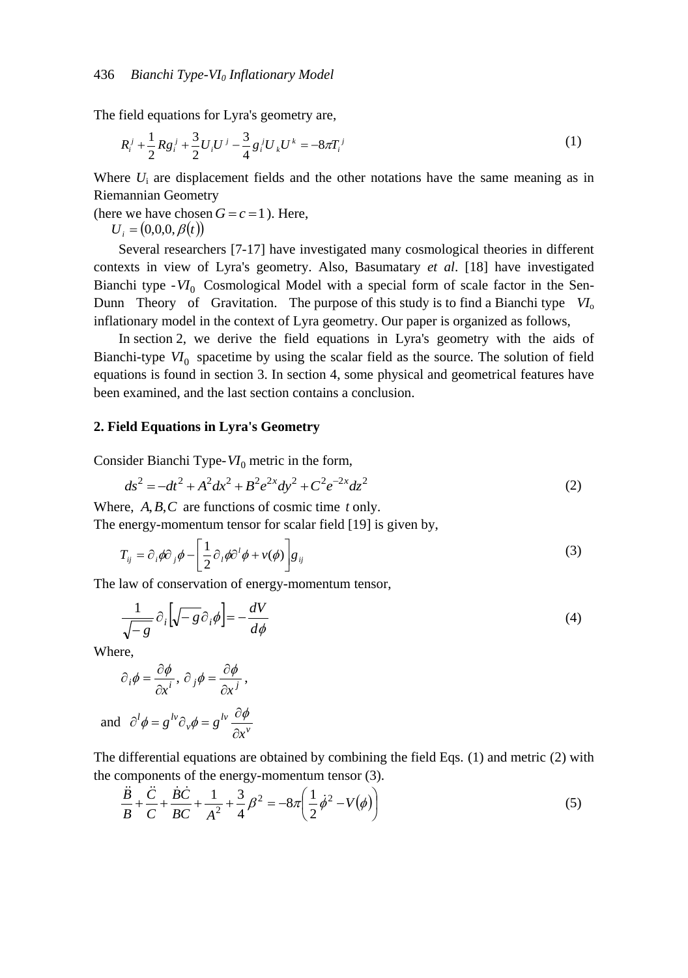The field equations for Lyra's geometry are,

$$
R_i^j + \frac{1}{2} R g_i^j + \frac{3}{2} U_i U^j - \frac{3}{4} g_i^j U_k U^k = -8\pi T_i^j
$$
 (1)

Where  $U_i$  are displacement fields and the other notations have the same meaning as in Riemannian Geometry

(here we have chosen  $G = c = 1$ ). Here,

 $U_i = (0,0,0,\beta(t))$ 

Several researchers [7-17] have investigated many cosmological theories in different contexts in view of Lyra's geometry. Also, Basumatary *et al*. [18] have investigated Bianchi type -  $VI_0$  Cosmological Model with a special form of scale factor in the Sen-Dunn Theory of Gravitation. The purpose of this study is to find a Bianchi type  $VI_0$ inflationary model in the context of Lyra geometry. Our paper is organized as follows,

In section 2, we derive the field equations in Lyra's geometry with the aids of Bianchi-type  $VI_0$  spacetime by using the scalar field as the source. The solution of field equations is found in section 3. In section 4, some physical and geometrical features have been examined, and the last section contains a conclusion.

### **2. Field Equations in Lyra's Geometry**

Consider Bianchi Type-*VI*<sup>0</sup> metric in the form,

$$
ds^2 = -dt^2 + A^2 dx^2 + B^2 e^{2x} dy^2 + C^2 e^{-2x} dz^2
$$
 (2)

Where,  $A, B, C$  are functions of cosmic time  $t$  only. The energy-momentum tensor for scalar field [19] is given by,

$$
T_{ij} = \partial_i \phi \partial_j \phi - \left[ \frac{1}{2} \partial_i \phi \partial^i \phi + v(\phi) \right] g_{ij}
$$
 (3)

The law of conservation of energy-momentum tensor,

$$
\frac{1}{\sqrt{-g}} \partial_i \left[ \sqrt{-g} \partial_i \phi \right] = -\frac{dV}{d\phi} \tag{4}
$$

Where,

$$
\partial_i \phi = \frac{\partial \phi}{\partial x^i}, \, \partial_j \phi = \frac{\partial \phi}{\partial x^j},
$$

and 
$$
\partial^l \phi = g^{lv} \partial_v \phi = g^{lv} \frac{\partial \phi}{\partial x^v}
$$

The differential equations are obtained by combining the field Eqs. (1) and metric (2) with the components of the energy-momentum tensor (3).

$$
\frac{\ddot{B}}{B} + \frac{\ddot{C}}{C} + \frac{\dot{B}\dot{C}}{BC} + \frac{1}{A^2} + \frac{3}{4}\beta^2 = -8\pi \left(\frac{1}{2}\dot{\phi}^2 - V(\phi)\right)
$$
(5)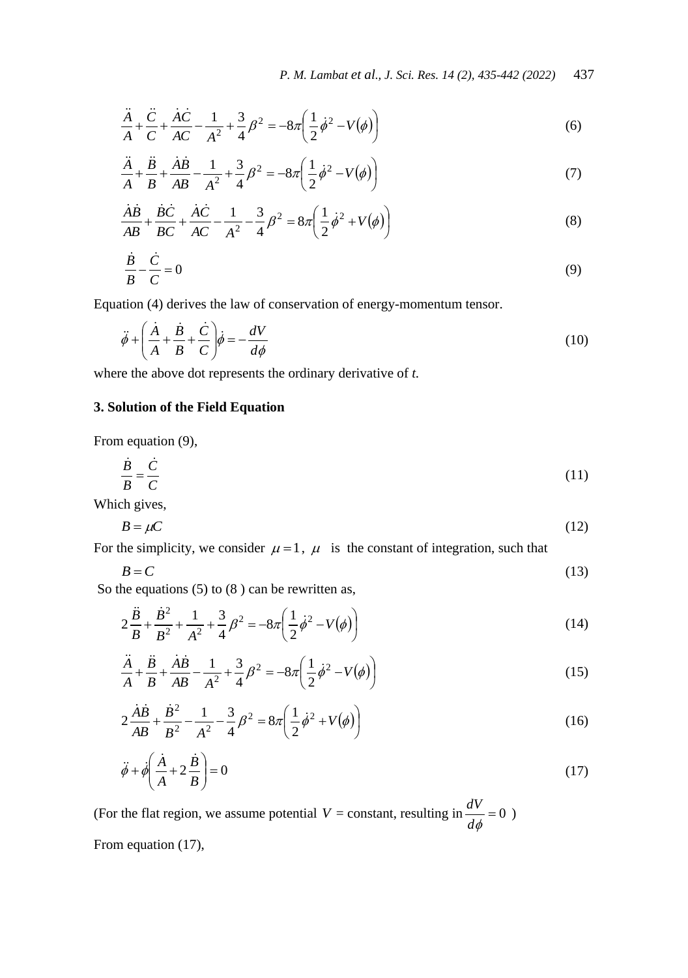$$
\frac{\ddot{A}}{A} + \frac{\ddot{C}}{C} + \frac{\dot{A}\dot{C}}{AC} - \frac{1}{A^2} + \frac{3}{4}\beta^2 = -8\pi \left(\frac{1}{2}\dot{\phi}^2 - V(\phi)\right)
$$
(6)

$$
\frac{\ddot{A}}{A} + \frac{\ddot{B}}{B} + \frac{\dot{A}\dot{B}}{AB} - \frac{1}{A^2} + \frac{3}{4}\beta^2 = -8\pi \left(\frac{1}{2}\dot{\phi}^2 - V(\phi)\right)
$$
(7)

$$
\frac{\dot{A}\dot{B}}{AB} + \frac{\dot{B}\dot{C}}{BC} + \frac{\dot{A}\dot{C}}{AC} - \frac{1}{A^2} - \frac{3}{4}\beta^2 = 8\pi \left(\frac{1}{2}\dot{\phi}^2 + V(\phi)\right)
$$
(8)

$$
\frac{\dot{B}}{B} - \frac{\dot{C}}{C} = 0\tag{9}
$$

Equation (4) derives the law of conservation of energy-momentum tensor.

$$
\ddot{\phi} + \left(\frac{\dot{A}}{A} + \frac{\dot{B}}{B} + \frac{\dot{C}}{C}\right)\dot{\phi} = -\frac{dV}{d\phi}
$$
\n(10)

where the above dot represents the ordinary derivative of *t.*

# **3. Solution of the Field Equation**

From equation (9),

$$
\frac{\dot{B}}{B} = \frac{\dot{C}}{C}
$$
 (11)

Which gives,

$$
B = \mu C \tag{12}
$$

For the simplicity, we consider  $\mu = 1$ ,  $\mu$  is the constant of integration, such that

$$
B = C \tag{13}
$$

So the equations  $(5)$  to  $(8)$  can be rewritten as,

$$
2\frac{\ddot{B}}{B} + \frac{\dot{B}^2}{B^2} + \frac{1}{A^2} + \frac{3}{4}B^2 = -8\pi \left(\frac{1}{2}\dot{\phi}^2 - V(\phi)\right)
$$
 (14)

$$
\frac{\ddot{A}}{A} + \frac{\ddot{B}}{B} + \frac{\dot{A}\dot{B}}{AB} - \frac{1}{A^2} + \frac{3}{4}\beta^2 = -8\pi \left(\frac{1}{2}\dot{\phi}^2 - V(\phi)\right)
$$
(15)

$$
2\frac{\dot{A}\dot{B}}{AB} + \frac{\dot{B}^2}{B^2} - \frac{1}{A^2} - \frac{3}{4}\beta^2 = 8\pi \left(\frac{1}{2}\dot{\phi}^2 + V(\phi)\right)
$$
(16)

$$
\ddot{\phi} + \dot{\phi} \left( \frac{\dot{A}}{A} + 2 \frac{\dot{B}}{B} \right) = 0 \tag{17}
$$

(For the flat region, we assume potential  $V = constant$ , resulting in  $\frac{dV}{dt} = 0$ *d*  $\frac{dV}{dt} = 0$ ) From equation (17),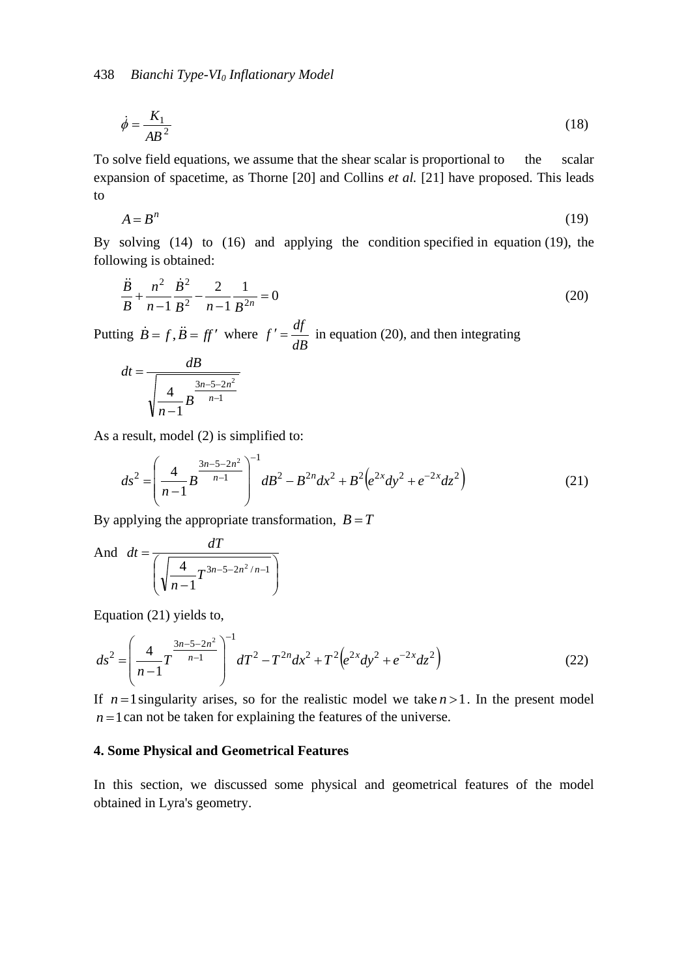$$
\dot{\phi} = \frac{K_1}{AB^2} \tag{18}
$$

To solve field equations, we assume that the shear scalar is proportional to the scalar expansion of spacetime, as Thorne [20] and Collins *et al.* [21] have proposed. This leads to

$$
A = B^n \tag{19}
$$

By solving (14) to (16) and applying the condition specified in equation (19), the following is obtained:

$$
\frac{\ddot{B}}{B} + \frac{n^2}{n-1} \frac{\dot{B}^2}{B^2} - \frac{2}{n-1} \frac{1}{B^{2n}} = 0
$$
\n(20)

Putting  $\dot{B} = f, \ddot{B} = ff'$  where *dB*  $f' = \frac{df}{f}$  in equation (20), and then integrating

$$
dt = \frac{dB}{\sqrt{\frac{4}{n-1}B^{\frac{3n-5-2n^2}{n-1}}}}
$$

As a result, model (2) is simplified to:

$$
ds^{2} = \left(\frac{4}{n-1}B^{\frac{3n-5-2n^{2}}{n-1}}\right)^{-1}dB^{2} - B^{2n}dx^{2} + B^{2}\left(e^{2x}dy^{2} + e^{-2x}dz^{2}\right)
$$
(21)

By applying the appropriate transformation,  $B = T$ 

And 
$$
dt = \frac{dT}{\left(\sqrt{\frac{4}{n-1}T^{3n-5-2n^2/n-1}}\right)}
$$

Equation (21) yields to,

$$
ds^{2} = \left(\frac{4}{n-1}T^{\frac{3n-5-2n^{2}}{n-1}}\right)^{-1}dT^{2} - T^{2n}dx^{2} + T^{2}\left(e^{2x}dy^{2} + e^{-2x}dz^{2}\right)
$$
(22)

If  $n=1$  singularity arises, so for the realistic model we take  $n>1$ . In the present model  $n = 1$  can not be taken for explaining the features of the universe.

# **4. Some Physical and Geometrical Features**

In this section, we discussed some physical and geometrical features of the model obtained in Lyra's geometry.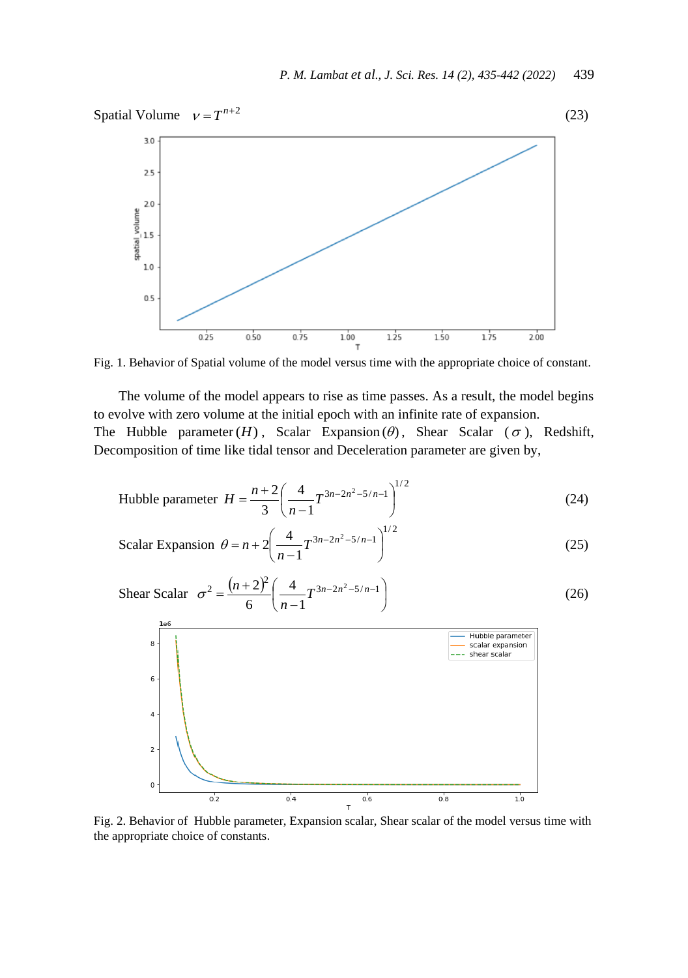

Fig. 1. Behavior of Spatial volume of the model versus time with the appropriate choice of constant.

The volume of the model appears to rise as time passes. As a result, the model begins to evolve with zero volume at the initial epoch with an infinite rate of expansion. The Hubble parameter  $(H)$ , Scalar Expansion  $(\theta)$ , Shear Scalar  $(\sigma)$ , Redshift, Decomposition of time like tidal tensor and Deceleration parameter are given by,

Hubble parameter 
$$
H = \frac{n+2}{3} \left( \frac{4}{n-1} T^{3n-2n^2-5/n-1} \right)^{1/2}
$$
 (24)

Scalar Expansion 
$$
\theta = n + 2 \left( \frac{4}{n-1} T^{3n-2n^2-5/n-1} \right)^{1/2}
$$
 (25)

Shear Scalar 
$$
\sigma^2 = \frac{(n+2)^2}{6} \left( \frac{4}{n-1} T^{3n-2n^2-5/n-1} \right)
$$
 (26)



Fig. 2. Behavior of Hubble parameter, Expansion scalar, Shear scalar of the model versus time with the appropriate choice of constants.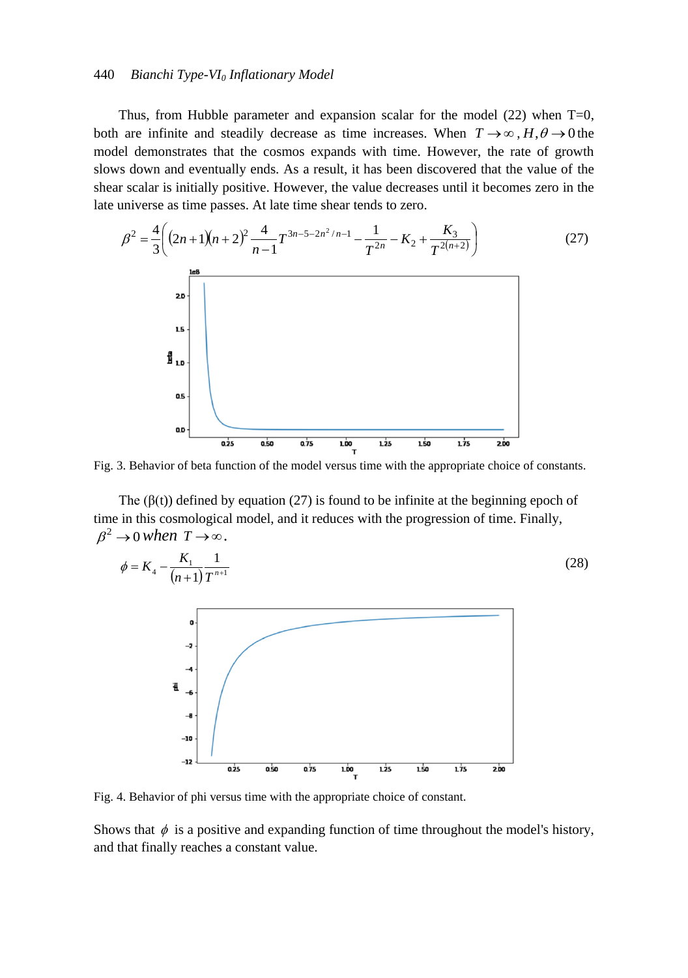#### 440 *Bianchi Type-VI<sup>0</sup> Inflationary Model*

Thus, from Hubble parameter and expansion scalar for the model  $(22)$  when T=0, both are infinite and steadily decrease as time increases. When  $T \rightarrow \infty$ ,  $H, \theta \rightarrow 0$  the model demonstrates that the cosmos expands with time. However, the rate of growth slows down and eventually ends. As a result, it has been discovered that the value of the shear scalar is initially positive. However, the value decreases until it becomes zero in the late universe as time passes. At late time shear tends to zero.



Fig. 3. Behavior of beta function of the model versus time with the appropriate choice of constants.

The  $(\beta(t))$  defined by equation (27) is found to be infinite at the beginning epoch of time in this cosmological model, and it reduces with the progression of time. Finally,  $\beta^2 \rightarrow 0$  when  $T \rightarrow \infty$ .



Fig. 4. Behavior of phi versus time with the appropriate choice of constant.

Shows that  $\phi$  is a positive and expanding function of time throughout the model's history, and that finally reaches a constant value.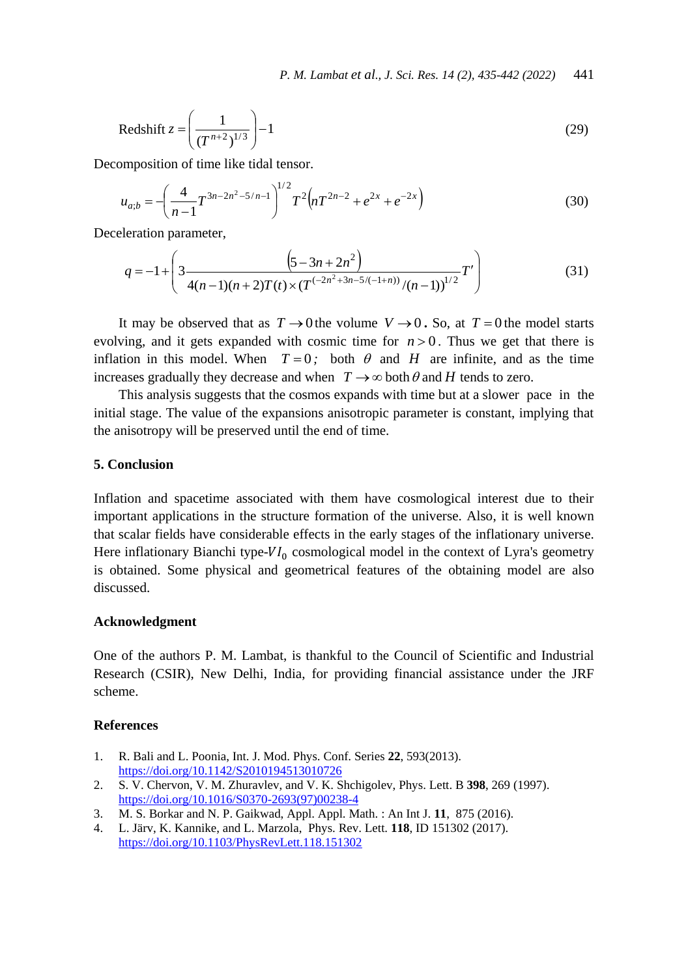$$
Redshift z = \left(\frac{1}{(T^{n+2})^{1/3}}\right) - 1\tag{29}
$$

Decomposition of time like tidal tensor.

$$
u_{a;b} = -\left(\frac{4}{n-1}T^{3n-2n^2-5/n-1}\right)^{1/2}T^2\left(nT^{2n-2} + e^{2x} + e^{-2x}\right)
$$
 (30)

Deceleration parameter,

$$
q = -1 + \left(3 \frac{\left(5 - 3n + 2n^2\right)}{4(n-1)(n+2)T(t) \times (T^{(-2n^2+3n-5/(-1+n))}/(n-1))^{1/2}}T'\right)
$$
(31)

It may be observed that as  $T \rightarrow 0$  the volume  $V \rightarrow 0$ . So, at  $T = 0$  the model starts evolving, and it gets expanded with cosmic time for  $n > 0$ . Thus we get that there is inflation in this model. When  $T=0$ ; both  $\theta$  and  $H$  are infinite, and as the time increases gradually they decrease and when  $T \rightarrow \infty$  both  $\theta$  and  $H$  tends to zero.

This analysis suggests that the cosmos expands with time but at a slower pace in the initial stage. The value of the expansions anisotropic parameter is constant, implying that the anisotropy will be preserved until the end of time.

## **5. Conclusion**

Inflation and spacetime associated with them have cosmological interest due to their important applications in the structure formation of the universe. Also, it is well known that scalar fields have considerable effects in the early stages of the inflationary universe. Here inflationary Bianchi type- $VI_0$  cosmological model in the context of Lyra's geometry is obtained. Some physical and geometrical features of the obtaining model are also discussed.

### **Acknowledgment**

One of the authors P. M. Lambat, is thankful to the Council of Scientific and Industrial Research (CSIR), New Delhi, India, for providing financial assistance under the JRF scheme.

#### **References**

- 1. R. Bali and L. Poonia, Int. J. Mod. Phys. Conf. Series **22**, 593(2013). <https://doi.org/10.1142/S2010194513010726>
- 2. S. V. Chervon, V. M. Zhuravlev, and V. K. Shchigolev, Phys. Lett. B **398**, 269 (1997). [https://doi.org/10.1016/S0370-2693\(97\)00238-4](https://doi.org/10.1016/S0370-2693(97)00238-4)
- 3. M. S. Borkar and N. P. Gaikwad, Appl. Appl. Math. : An Int J. **11**, 875 (2016).
- 4. L. Järv, K. Kannike, and L. Marzola, Phys. Rev. Lett. **118**, ID 151302 (2017). <https://doi.org/10.1103/PhysRevLett.118.151302>